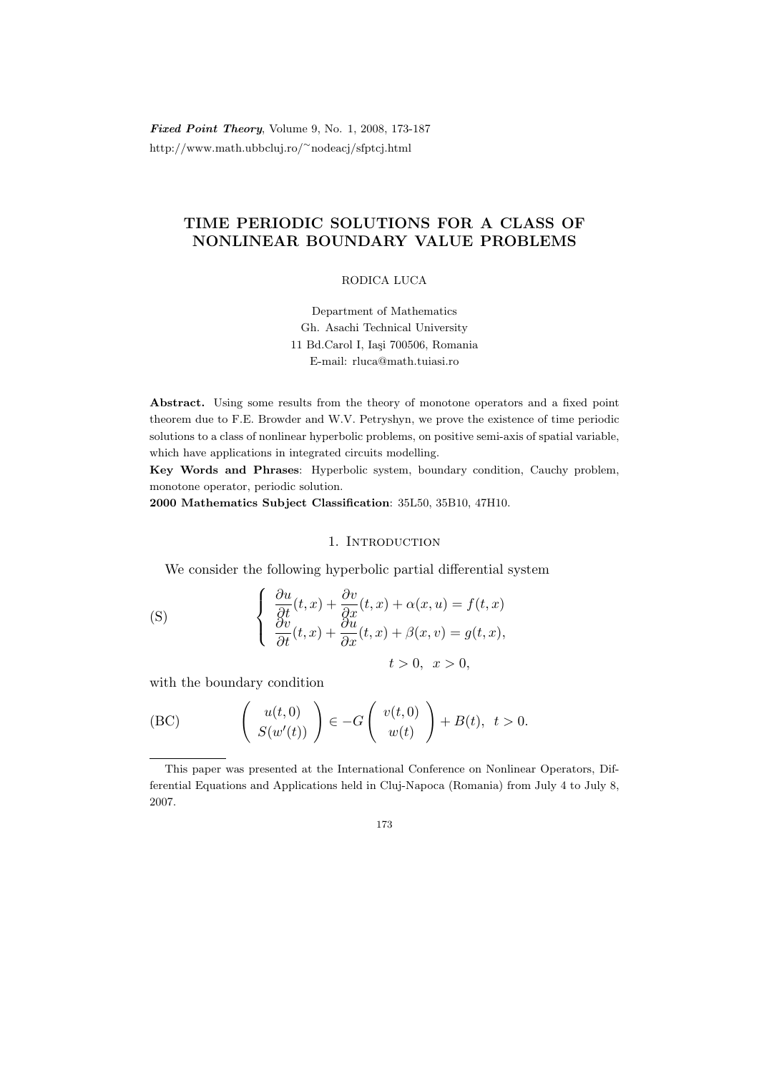Fixed Point Theory, Volume 9, No. 1, 2008, 173-187 http://www.math.ubbcluj.ro/<sup>∼</sup>nodeacj/sfptcj.html

# TIME PERIODIC SOLUTIONS FOR A CLASS OF NONLINEAR BOUNDARY VALUE PROBLEMS

RODICA LUCA

Department of Mathematics Gh. Asachi Technical University 11 Bd.Carol I, Iași 700506, Romania E-mail: rluca@math.tuiasi.ro

Abstract. Using some results from the theory of monotone operators and a fixed point theorem due to F.E. Browder and W.V. Petryshyn, we prove the existence of time periodic solutions to a class of nonlinear hyperbolic problems, on positive semi-axis of spatial variable, which have applications in integrated circuits modelling.

Key Words and Phrases: Hyperbolic system, boundary condition, Cauchy problem, monotone operator, periodic solution.

2000 Mathematics Subject Classification: 35L50, 35B10, 47H10.

# 1. INTRODUCTION

We consider the following hyperbolic partial differential system

(S) 
$$
\begin{cases} \frac{\partial u}{\partial t}(t,x) + \frac{\partial v}{\partial x}(t,x) + \alpha(x,u) = f(t,x) \\ \frac{\partial v}{\partial t}(t,x) + \frac{\partial u}{\partial x}(t,x) + \beta(x,v) = g(t,x), \\ t > 0, \quad x > 0, \end{cases}
$$

with the boundary condition

(BC) 
$$
\begin{pmatrix} u(t,0) \\ S(w'(t)) \end{pmatrix} \in -G \begin{pmatrix} v(t,0) \\ w(t) \end{pmatrix} + B(t), \ t > 0.
$$

173

This paper was presented at the International Conference on Nonlinear Operators, Differential Equations and Applications held in Cluj-Napoca (Romania) from July 4 to July 8, 2007.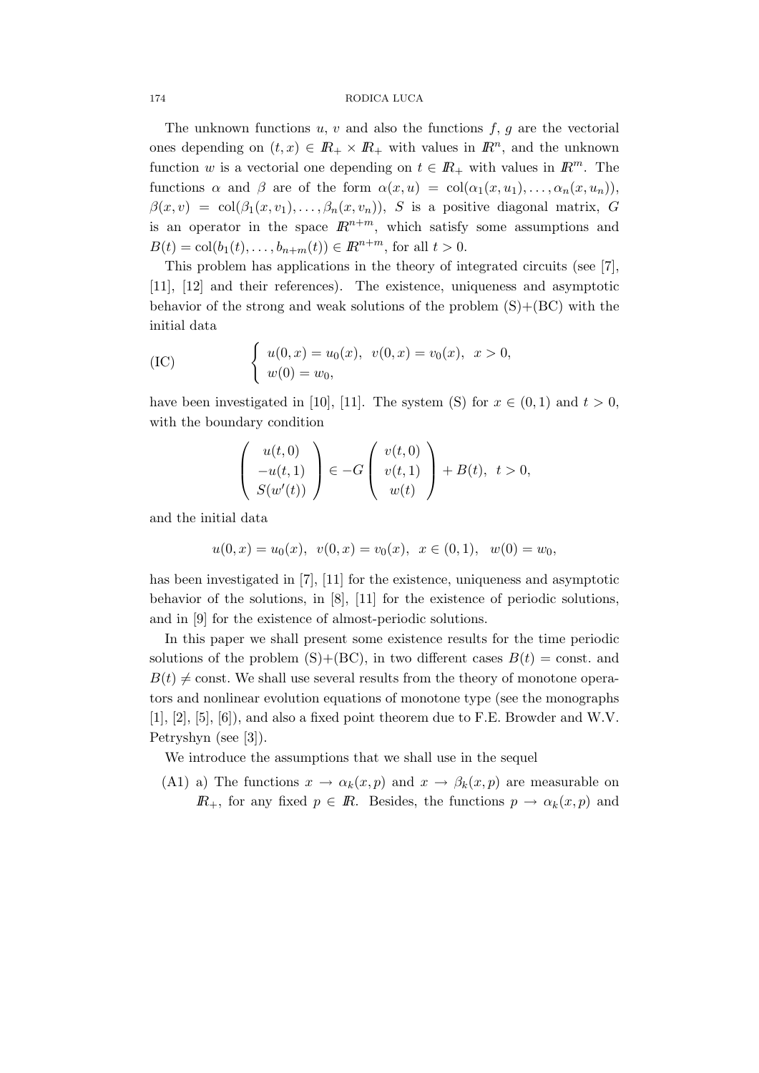The unknown functions  $u, v$  and also the functions  $f, g$  are the vectorial ones depending on  $(t, x) \in \mathbb{R}_+ \times \mathbb{R}_+$  with values in  $\mathbb{R}^n$ , and the unknown function w is a vectorial one depending on  $t \in \mathbb{R}_+$  with values in  $\mathbb{R}^m$ . The functions  $\alpha$  and  $\beta$  are of the form  $\alpha(x, u) = col(\alpha_1(x, u_1), \ldots, \alpha_n(x, u_n))$ ,  $\beta(x, v) = \text{col}(\beta_1(x, v_1), \dots, \beta_n(x, v_n)), S$  is a positive diagonal matrix, G is an operator in the space  $\mathbb{R}^{n+m}$ , which satisfy some assumptions and  $B(t) = \text{col}(b_1(t), \ldots, b_{n+m}(t)) \in \mathbb{R}^{n+m}$ , for all  $t > 0$ .

This problem has applications in the theory of integrated circuits (see [7], [11], [12] and their references). The existence, uniqueness and asymptotic behavior of the strong and weak solutions of the problem  $(S)+(BC)$  with the initial data

(IC) 
$$
\begin{cases} u(0, x) = u_0(x), & v(0, x) = v_0(x), & x > 0, \\ w(0) = w_0, & w \end{cases}
$$

have been investigated in [10], [11]. The system (S) for  $x \in (0,1)$  and  $t > 0$ , with the boundary condition

$$
\left(\begin{array}{c}u(t,0)\\-u(t,1)\\S(w'(t))\end{array}\right)\in -G\left(\begin{array}{c}v(t,0)\\v(t,1)\\w(t)\end{array}\right)+B(t),\ \ t>0,
$$

and the initial data

$$
u(0, x) = u_0(x), v(0, x) = v_0(x), x \in (0, 1), w(0) = w_0,
$$

has been investigated in [7], [11] for the existence, uniqueness and asymptotic behavior of the solutions, in  $[8]$ ,  $[11]$  for the existence of periodic solutions, and in [9] for the existence of almost-periodic solutions.

In this paper we shall present some existence results for the time periodic solutions of the problem  $(S)$ + $(BC)$ , in two different cases  $B(t)$  = const. and  $B(t) \neq$  const. We shall use several results from the theory of monotone operators and nonlinear evolution equations of monotone type (see the monographs [1], [2], [5], [6]), and also a fixed point theorem due to F.E. Browder and W.V. Petryshyn (see [3]).

We introduce the assumptions that we shall use in the sequel

(A1) a) The functions  $x \to \alpha_k(x, p)$  and  $x \to \beta_k(x, p)$  are measurable on  $\mathbb{R}_+$ , for any fixed  $p \in \mathbb{R}$ . Besides, the functions  $p \to \alpha_k(x, p)$  and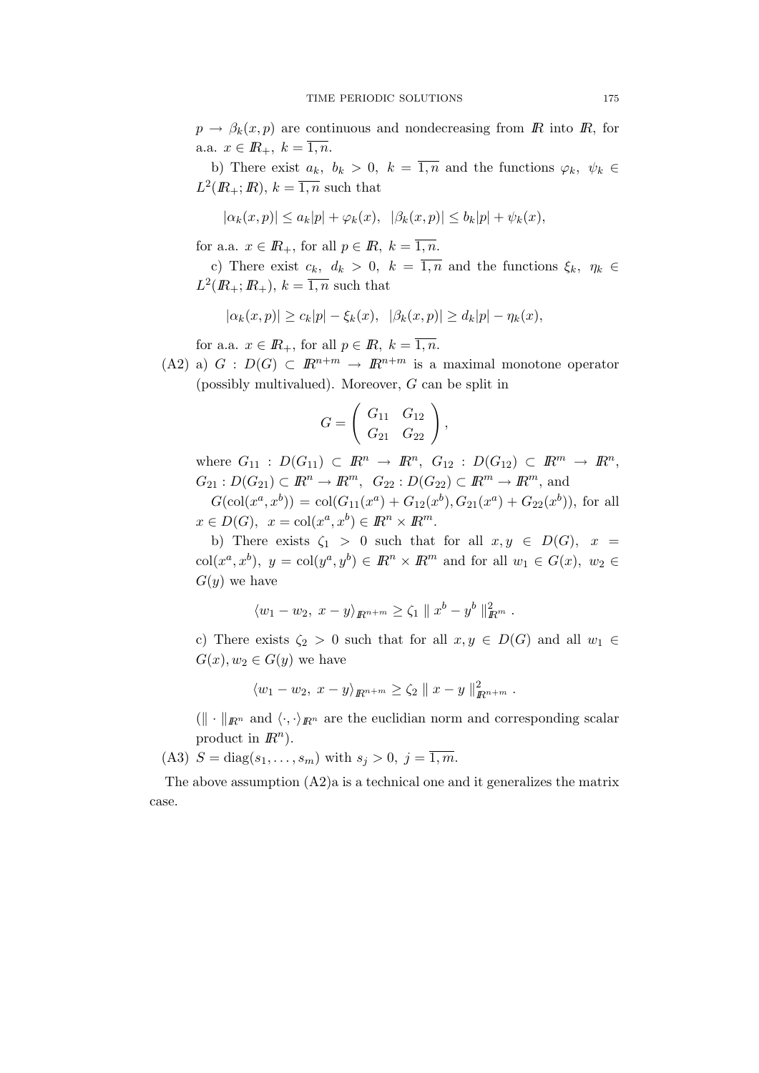$p \to \beta_k(x, p)$  are continuous and nondecreasing from R into R, for a.a.  $x \in \mathbb{R}_+, k = \overline{1, n}.$ 

b) There exist  $a_k$ ,  $b_k > 0$ ,  $k = \overline{1,n}$  and the functions  $\varphi_k$ ,  $\psi_k \in$  $L^2(\mathbb{R}_+;\mathbb{R}), k = \overline{1,n}$  such that

$$
|\alpha_k(x,p)| \le a_k|p| + \varphi_k(x), \quad |\beta_k(x,p)| \le b_k|p| + \psi_k(x),
$$

for a.a.  $x \in \mathbb{R}_+$ , for all  $p \in \mathbb{R}$ ,  $k = \overline{1, n}$ .

c) There exist  $c_k$ ,  $d_k > 0$ ,  $k = \overline{1,n}$  and the functions  $\xi_k$ ,  $\eta_k \in$  $L^2(\mathbb{R}_+;\mathbb{R}_+), k = \overline{1,n}$  such that

$$
|\alpha_k(x,p)| \geq c_k|p| - \xi_k(x), \quad |\beta_k(x,p)| \geq d_k|p| - \eta_k(x),
$$

for a.a.  $x \in \mathbb{R}_+$ , for all  $p \in \mathbb{R}$ ,  $k = \overline{1, n}$ .

(A2) a)  $G : D(G) \subset \mathbb{R}^{n+m} \to \mathbb{R}^{n+m}$  is a maximal monotone operator (possibly multivalued). Moreover, G can be split in

$$
G = \left( \begin{array}{cc} G_{11} & G_{12} \\ G_{21} & G_{22} \end{array} \right),
$$

where  $G_{11} : D(G_{11}) \subset \mathbb{R}^n \to \mathbb{R}^n$ ,  $G_{12} : D(G_{12}) \subset \mathbb{R}^m \to \mathbb{R}^n$ ,  $G_{21} : D(G_{21}) \subset \mathbb{R}^n \to \mathbb{R}^m$ ,  $G_{22} : D(G_{22}) \subset \mathbb{R}^m \to \mathbb{R}^m$ , and  $G(\text{col}(x^a, x^b)) = \text{col}(G_{11}(x^a) + G_{12}(x^b), G_{21}(x^a) + G_{22}(x^b)),$  for all

 $x \in D(G)$ ,  $x = col(x^a, x^b) \in \mathbb{R}^n \times \mathbb{R}^m$ .

b) There exists  $\zeta_1 > 0$  such that for all  $x, y \in D(G)$ ,  $x =$  $\text{col}(x^a, x^b), y = \text{col}(y^a, y^b) \in \mathbb{R}^n \times \mathbb{R}^m$  and for all  $w_1 \in G(x), w_2 \in$  $G(y)$  we have

$$
\langle w_1 - w_2, x - y \rangle_{\mathbb{R}^{n+m}} \ge \zeta_1 \| x^b - y^b \|_{\mathbb{R}^m}^2.
$$

c) There exists  $\zeta_2 > 0$  such that for all  $x, y \in D(G)$  and all  $w_1 \in$  $G(x), w_2 \in G(y)$  we have

$$
\langle w_1 - w_2, x - y \rangle_{\mathbb{R}^{n+m}} \ge \zeta_2 \| x - y \|_{\mathbb{R}^{n+m}}^2.
$$

 $(\Vert \cdot \Vert_{\mathbb{R}^n}$  and  $\langle \cdot, \cdot \rangle_{\mathbb{R}^n}$  are the euclidian norm and corresponding scalar product in  $\mathbb{R}^n$ ).

(A3)  $S = diag(s_1, ..., s_m)$  with  $s_j > 0$ ,  $j = \overline{1, m}$ .

The above assumption  $(A2)a$  is a technical one and it generalizes the matrix case.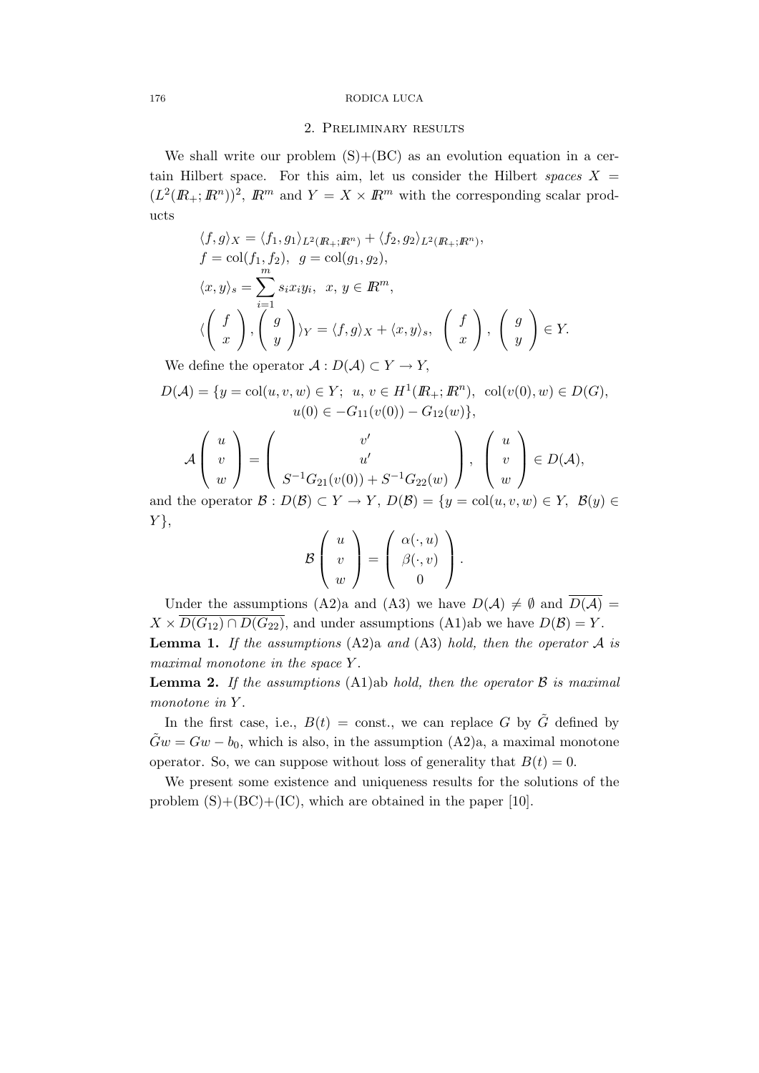### 2. Preliminary results

We shall write our problem  $(S)+(BC)$  as an evolution equation in a certain Hilbert space. For this aim, let us consider the Hilbert spaces  $X =$  $(L^2(\mathbb{R}_+;\mathbb{R}^n))^2$ ,  $\mathbb{R}^m$  and  $Y = X \times \mathbb{R}^m$  with the corresponding scalar products

$$
\langle f, g \rangle_X = \langle f_1, g_1 \rangle_{L^2(R_+; R^n)} + \langle f_2, g_2 \rangle_{L^2(R_+; R^n)},
$$
  
\n
$$
f = \text{col}(f_1, f_2), \ g = \text{col}(g_1, g_2),
$$
  
\n
$$
\langle x, y \rangle_s = \sum_{i=1}^m s_i x_i y_i, \ x, y \in R^m,
$$
  
\n
$$
\langle \begin{pmatrix} f \\ x \end{pmatrix}, \begin{pmatrix} g \\ y \end{pmatrix} \rangle_Y = \langle f, g \rangle_X + \langle x, y \rangle_s, \begin{pmatrix} f \\ x \end{pmatrix}, \begin{pmatrix} g \\ y \end{pmatrix} \in Y.
$$

We define the operator  $\mathcal{A}: D(\mathcal{A}) \subset Y \to Y$ ,

$$
D(\mathcal{A}) = \{ y = \text{col}(u, v, w) \in Y; \ u, v \in H^1(\mathbb{R}_+; \mathbb{R}^n), \ \text{col}(v(0), w) \in D(G), u(0) \in -G_{11}(v(0)) - G_{12}(w) \},
$$

$$
\mathcal{A}\begin{pmatrix} u \\ v \\ w \end{pmatrix} = \begin{pmatrix} v' \\ u' \\ S^{-1}G_{21}(v(0)) + S^{-1}G_{22}(w) \end{pmatrix}, \begin{pmatrix} u \\ v \\ w \end{pmatrix} \in D(\mathcal{A}),
$$

and the operator  $\mathcal{B}: D(\mathcal{B}) \subset Y \to Y$ ,  $D(\mathcal{B}) = \{y = \text{col}(u, v, w) \in Y, \mathcal{B}(y) \in Y\}$  $Y$ ,

$$
\mathcal{B}\left(\begin{array}{c}u\\v\\w\end{array}\right)=\left(\begin{array}{c}\alpha(\cdot,u)\\ \beta(\cdot,v)\\0\end{array}\right).
$$

Under the assumptions (A2)a and (A3) we have  $D(\mathcal{A}) \neq \emptyset$  and  $\overline{D(\mathcal{A})}$  =  $X \times \overline{D(G_{12}) \cap D(G_{22})}$ , and under assumptions (A1)ab we have  $D(\mathcal{B}) = Y$ . **Lemma 1.** If the assumptions  $(A2)a$  and  $(A3)$  hold, then the operator A is maximal monotone in the space Y.

**Lemma 2.** If the assumptions (A1)ab hold, then the operator  $\beta$  is maximal monotone in Y.

In the first case, i.e.,  $B(t) = \text{const.}$ , we can replace G by  $\tilde{G}$  defined by  $\tilde{G}w = Gw - b_0$ , which is also, in the assumption  $(A2)a$ , a maximal monotone operator. So, we can suppose without loss of generality that  $B(t) = 0$ .

We present some existence and uniqueness results for the solutions of the problem  $(S)+(BC)+(IC)$ , which are obtained in the paper [10].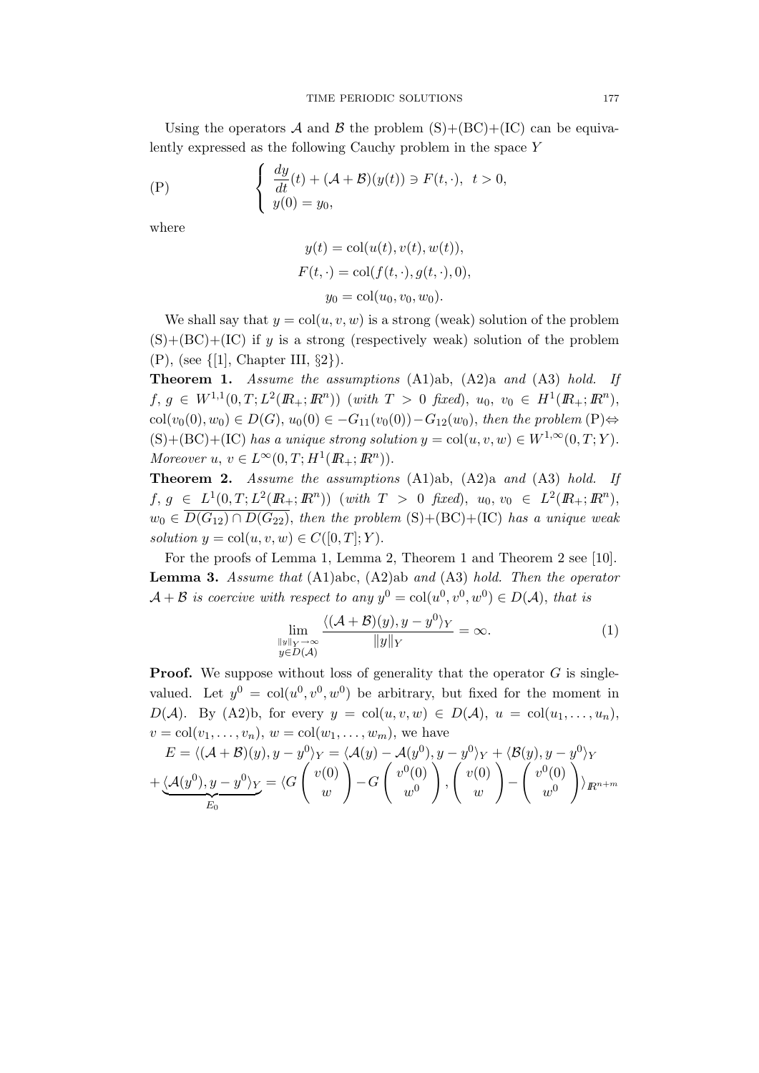Using the operators A and B the problem  $(S)+(BC)+(IC)$  can be equivalently expressed as the following Cauchy problem in the space Y

$$
\begin{cases}\n\frac{dy}{dt}(t) + (\mathcal{A} + \mathcal{B})(y(t)) \ni F(t, \cdot), \quad t > 0, \\
y(0) = y_0,\n\end{cases}
$$

where

$$
y(t) = col(u(t), v(t), w(t)),
$$
  
\n
$$
F(t, \cdot) = col(f(t, \cdot), g(t, \cdot), 0),
$$
  
\n
$$
y_0 = col(u_0, v_0, w_0).
$$

We shall say that  $y = col(u, v, w)$  is a strong (weak) solution of the problem  $(S)+(BC)+(IC)$  if y is a strong (respectively weak) solution of the problem (P), (see {[1], Chapter III, §2}).

Theorem 1. Assume the assumptions (A1)ab, (A2)a and (A3) hold. If  $f, g \in W^{1,1}(0,T; L^2(\mathbb{R}_+; \mathbb{R}^n))$  (with  $T > 0$  fixed),  $u_0, v_0 \in H^1(\mathbb{R}_+; \mathbb{R}^n)$ ,  $col(v_0(0), w_0) \in D(G), u_0(0) \in -G_{11}(v_0(0)) - G_{12}(w_0),$  then the problem (P)⇔  $(S)+(BC)+(IC)$  has a unique strong solution  $y = col(u, v, w) \in W^{1,\infty}(0,T; Y)$ . Moreover  $u, v \in L^{\infty}(0,T; H^1(\mathbb{R}_+; \mathbb{R}^n)).$ 

Theorem 2. Assume the assumptions (A1)ab, (A2)a and (A3) hold. If  $f, g \in L^1(0,T; L^2(\mathbb{R}_+; \mathbb{R}^n))$  (with  $T > 0$  fixed),  $u_0, v_0 \in L^2(\mathbb{R}_+; \mathbb{R}^n)$ ,  $w_0 \in \overline{D(G_{12}) \cap D(G_{22})}$ , then the problem  $(S) + (BC) + (IC)$  has a unique weak solution  $y = col(u, v, w) \in C([0, T]; Y)$ .

For the proofs of Lemma 1, Lemma 2, Theorem 1 and Theorem 2 see [10]. **Lemma 3.** Assume that  $(A1)abc$ ,  $(A2)ab$  and  $(A3)$  hold. Then the operator  $\mathcal{A} + \mathcal{B}$  is coercive with respect to any  $y^0 = col(u^0, v^0, w^0) \in D(\mathcal{A})$ , that is

$$
\lim_{\substack{\|y\|_{Y}\to\infty\\y\in D(\mathcal{A})}}\frac{\langle (\mathcal{A}+\mathcal{B})(y), y-y^{0}\rangle_{Y}}{\|y\|_{Y}}=\infty.
$$
\n(1)

**Proof.** We suppose without loss of generality that the operator  $G$  is singlevalued. Let  $y^0 = col(u^0, v^0, w^0)$  be arbitrary, but fixed for the moment in  $D(\mathcal{A})$ . By (A2)b, for every  $y = col(u, v, w) \in D(\mathcal{A})$ ,  $u = col(u_1, \ldots, u_n)$ ,  $v = \text{col}(v_1, \ldots, v_n), w = \text{col}(w_1, \ldots, w_m),$  we have

$$
E = \langle (\mathcal{A} + \mathcal{B})(y), y - y^0 \rangle_Y = \langle \mathcal{A}(y) - \mathcal{A}(y^0), y - y^0 \rangle_Y + \langle \mathcal{B}(y), y - y^0 \rangle_Y + \underbrace{\langle \mathcal{A}(y^0), y - y^0 \rangle_Y}_{E_0} = \langle G \begin{pmatrix} v(0) \\ w \end{pmatrix} - G \begin{pmatrix} v^0(0) \\ w^0 \end{pmatrix}, \begin{pmatrix} v(0) \\ w \end{pmatrix} - \begin{pmatrix} v^0(0) \\ w^0 \end{pmatrix} \rangle_{R^{n+m}}
$$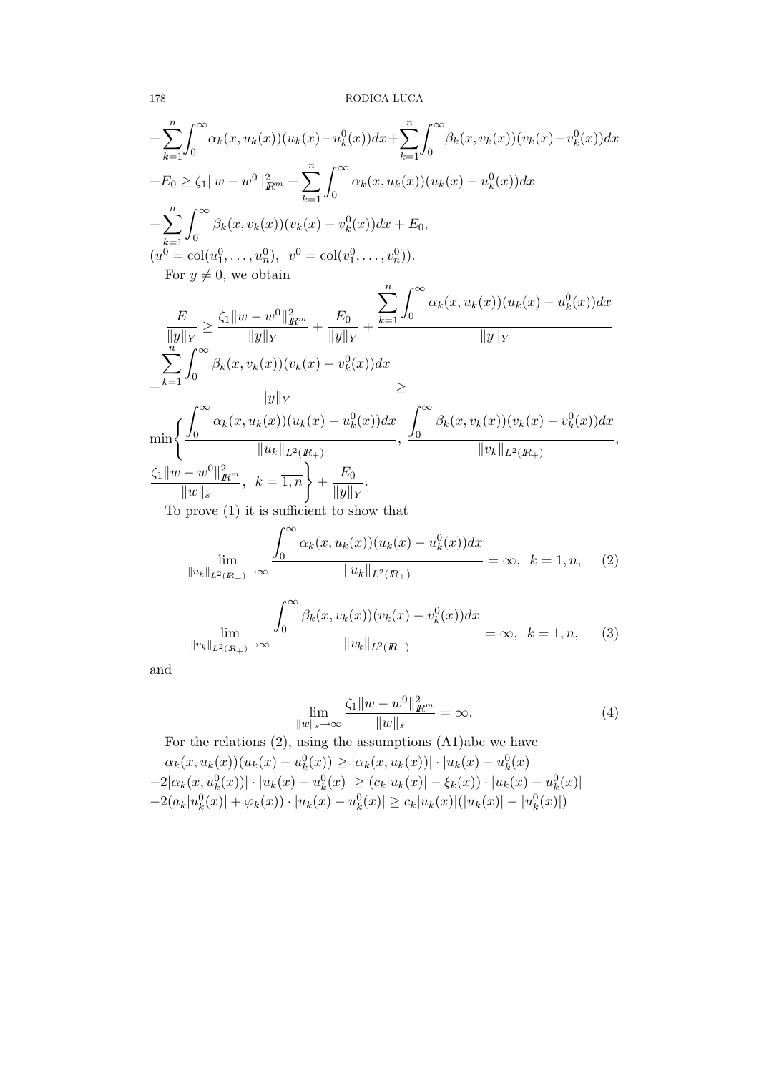$$
+\sum_{k=1}^{n} \int_{0}^{\infty} \alpha_{k}(x, u_{k}(x))(u_{k}(x) - u_{k}^{0}(x))dx + \sum_{k=1}^{n} \int_{0}^{\infty} \beta_{k}(x, v_{k}(x))(v_{k}(x) - v_{k}^{0}(x))dx
$$
  
\n
$$
+E_{0} \geq \zeta_{1} ||w - w^{0}||^{2}_{R^{m}} + \sum_{k=1}^{n} \int_{0}^{\infty} \alpha_{k}(x, u_{k}(x))(u_{k}(x) - u_{k}^{0}(x))dx
$$
  
\n
$$
+\sum_{k=1}^{n} \int_{0}^{\infty} \beta_{k}(x, v_{k}(x))(v_{k}(x) - v_{k}^{0}(x))dx + E_{0},
$$
  
\n
$$
(u^{0} = col(u_{1}^{0}, ..., u_{n}^{0}), v^{0} = col(v_{1}^{0}, ..., v_{n}^{0})).
$$
  
\nFor  $y \neq 0$ , we obtain  
\n
$$
\frac{E}{||y||_{Y}} \geq \frac{\zeta_{1} ||w - w^{0}||^{2}_{R^{m}}}{||y||_{Y}} + \frac{E_{0}}{||y||_{Y}} + \frac{\sum_{k=1}^{n} \int_{0}^{\infty} \alpha_{k}(x, u_{k}(x))(u_{k}(x) - u_{k}^{0}(x))dx}{||y||_{Y}}
$$
  
\n
$$
+\frac{\sum_{k=1}^{n} \int_{0}^{\infty} \beta_{k}(x, v_{k}(x))(v_{k}(x) - v_{k}^{0}(x))dx}{||y||_{Y}} \geq
$$
  
\n
$$
\min \left\{ \frac{\int_{0}^{\infty} \alpha_{k}(x, u_{k}(x))(u_{k}(x) - u_{k}^{0}(x))dx}{||u_{k}||_{L^{2}(R_{+})}} \right\} + \frac{\int_{0}^{\infty} \beta_{k}(x, v_{k}(x))(v_{k}(x) - v_{k}^{0}(x))dx}{||v_{k}||_{L^{2}(R_{+})}},
$$
  
\n
$$
\frac{\zeta_{1} ||w - w^{0}||^{2}_{R^{m}}}{||w||_{s}}, k = \overline{1, n} \right\} + \frac{E_{0}}{||y||_{Y}}.
$$
  
\nTo prove (1) it is sufficient

 $\int^{\infty}$ 

$$
\lim_{\|u_k\|_{L^2(R_+)} \to \infty} \frac{\int_0^{\infty} \alpha_k(x, u_k(x))(u_k(x) - u_k^0(x))dx}{\|u_k\|_{L^2(R_+)}} = \infty, \quad k = \overline{1, n}, \quad (2)
$$

$$
\lim_{\|v_k\|_{L^2(R_+)} \to \infty} \frac{\int_0^\infty \beta_k(x, v_k(x))(v_k(x) - v_k^0(x))dx}{\|v_k\|_{L^2(R_+)}} = \infty, \quad k = \overline{1, n}, \tag{3}
$$

and

$$
\lim_{\|w\|_{s}\to\infty} \frac{\zeta_1\|w - w^0\|_{\mathbb{R}^m}^2}{\|w\|_{s}} = \infty.
$$
\n(4)

For the relations (2), using the assumptions (A1)abc we have  $\alpha_k(x, u_k(x))(u_k(x) - u_k^0(x)) \ge |\alpha_k(x, u_k(x))| \cdot |u_k(x) - u_k^0(x)|$  $-2|\alpha_k(x, u_k^0(x))| \cdot |u_k(x) - u_k^0(x)| \ge (c_k|u_k(x)| - \xi_k(x)) \cdot |u_k(x) - u_k^0(x)|$  $-2(a_k|u_k^0(x)| + \varphi_k(x)) \cdot |u_k(x) - u_k^0(x)| \ge c_k |u_k(x)| (|u_k(x)| - |u_k^0(x)|)$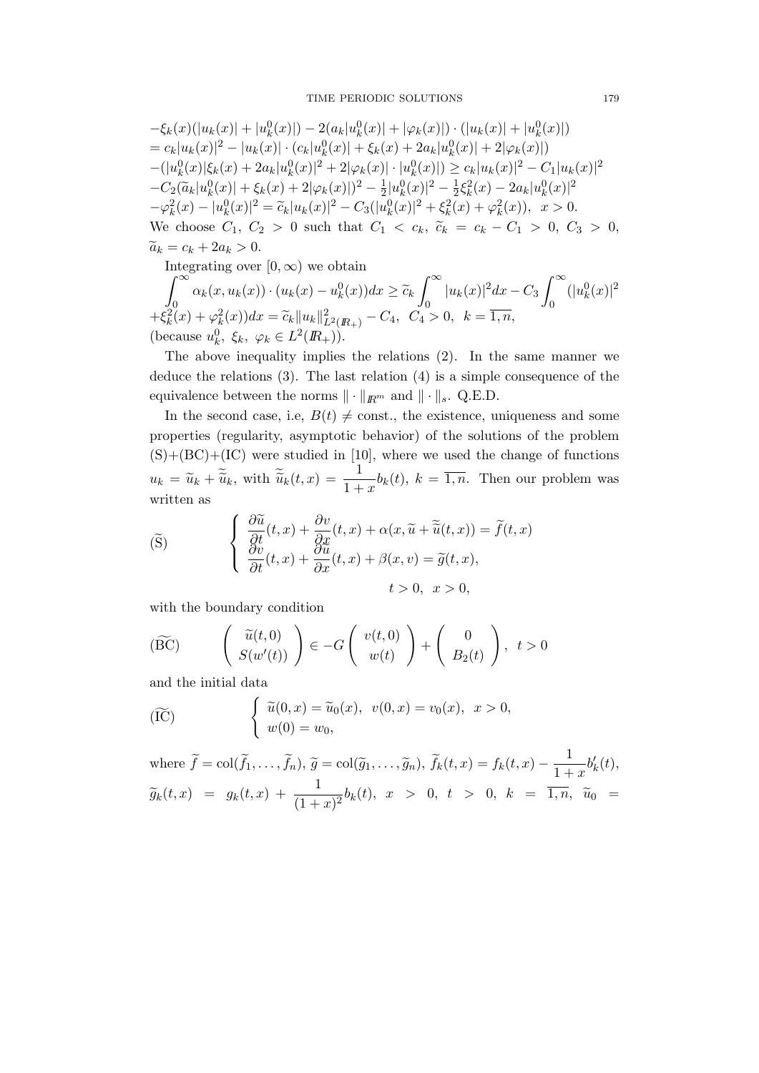$$
-\xi_k(x)(|u_k(x)|+|u_k^0(x)|)-2(a_k|u_k^0(x)|+|\varphi_k(x)|)\cdot(|u_k(x)|+|u_k^0(x)|)
$$
  
=  $c_k|u_k(x)|^2-|u_k(x)|\cdot(c_k|u_k^0(x)|+\xi_k(x)+2a_k|u_k^0(x)|+2|\varphi_k(x)|)$   
 $-(|u_k^0(x)|\xi_k(x)+2a_k|u_k^0(x)|^2+2|\varphi_k(x)|\cdot|u_k^0(x)|)\geq c_k|u_k(x)|^2-C_1|u_k(x)|^2$   
 $-C_2(\widetilde{a}_k|u_k^0(x)|+\xi_k(x)+2|\varphi_k(x)|)^2-\frac{1}{2}|u_k^0(x)|^2-\frac{1}{2}\xi_k^2(x)-2a_k|u_k^0(x)|^2$   
 $-\varphi_k^2(x)-|u_k^0(x)|^2=\widetilde{c}_k|u_k(x)|^2-C_3(|u_k^0(x)|^2+\xi_k^2(x)+\varphi_k^2(x)), x>0.$   
We choose  $C_1, C_2 > 0$  such that  $C_1 < c_k, \widetilde{c}_k = c_k - C_1 > 0, C_3 > 0$ ,  
 $\widetilde{a}_k = c_k + 2a_k > 0.$   
Integrating over  $[0, \infty)$  we obtain

$$
\int_0^{\infty} \alpha_k(x, u_k(x)) \cdot (u_k(x) - u_k^0(x)) dx \ge \tilde{c}_k \int_0^{\infty} |u_k(x)|^2 dx - C_3 \int_0^{\infty} (|u_k^0(x)|^2 + \xi_k^2(x) + \varphi_k^2(x)) dx = \tilde{c}_k ||u_k||_{L^2(R_+)}^2 - C_4, \quad C_4 > 0, \quad k = \overline{1, n},
$$
\n(because  $u_k^0, \xi_k, \varphi_k \in L^2(R_+)$ ).

The above inequality implies the relations (2). In the same manner we deduce the relations (3). The last relation (4) is a simple consequence of the equivalence between the norms  $\|\cdot\|_{\mathbb{R}^m}$  and  $\|\cdot\|_s$ . Q.E.D.

In the second case, i.e,  $B(t) \neq$  const., the existence, uniqueness and some properties (regularity, asymptotic behavior) of the solutions of the problem  $(S)+(BC)+(IC)$  were studied in [10], where we used the change of functions  $u_k = \widetilde{u}_k + \widetilde{\widetilde{u}}_k$ , with  $\widetilde{\widetilde{u}}_k(t,x) = \frac{1}{1+x} b_k(t)$ ,  $k = \overline{1,n}$ . Then our problem was written as

$$
\begin{cases}\n\frac{\partial \widetilde{u}}{\partial t}(t,x) + \frac{\partial v}{\partial x}(t,x) + \alpha(x, \widetilde{u} + \widetilde{\widetilde{u}}(t,x)) = \widetilde{f}(t,x) \\
\frac{\partial v}{\partial t}(t,x) + \frac{\partial u}{\partial x}(t,x) + \beta(x,v) = \widetilde{g}(t,x), \\
t > 0, \quad x > 0,\n\end{cases}
$$

with the boundary condition

$$
(\widetilde{BC}) \qquad \left( \begin{array}{c} \widetilde{u}(t,0) \\ S(w'(t)) \end{array} \right) \in -G \left( \begin{array}{c} v(t,0) \\ w(t) \end{array} \right) + \left( \begin{array}{c} 0 \\ B_2(t) \end{array} \right), \ t > 0
$$

and the initial data

$$
\widetilde{\text{(IC)}} \qquad \qquad \left\{ \begin{array}{l} \widetilde{u}(0,x) = \widetilde{u}_0(x), \ \ v(0,x) = v_0(x), \ \ x > 0, \\ w(0) = w_0, \end{array} \right.
$$

where  $\widetilde{f} = \text{col}(\widetilde{f}_1, \ldots, \widetilde{f}_n), \widetilde{g} = \text{col}(\widetilde{g}_1, \ldots, \widetilde{g}_n), \widetilde{f}_k(t, x) = f_k(t, x) - \frac{1}{1 + \widetilde{g}_k(t, x)}$  $\frac{1}{1+x}b'_k(t),$  $\widetilde{g}_k(t,x) \;\; = \;\; g_k(t,x) \; + \; \frac{1}{(1+x)^2} b_k(t), \;\, x \;\; > \;\; 0, \;\; t \;\; > \;\; 0, \;\; k \;\; = \;\; \overline{1,n}, \;\; \widetilde{u}_0 \;\; = \;\;$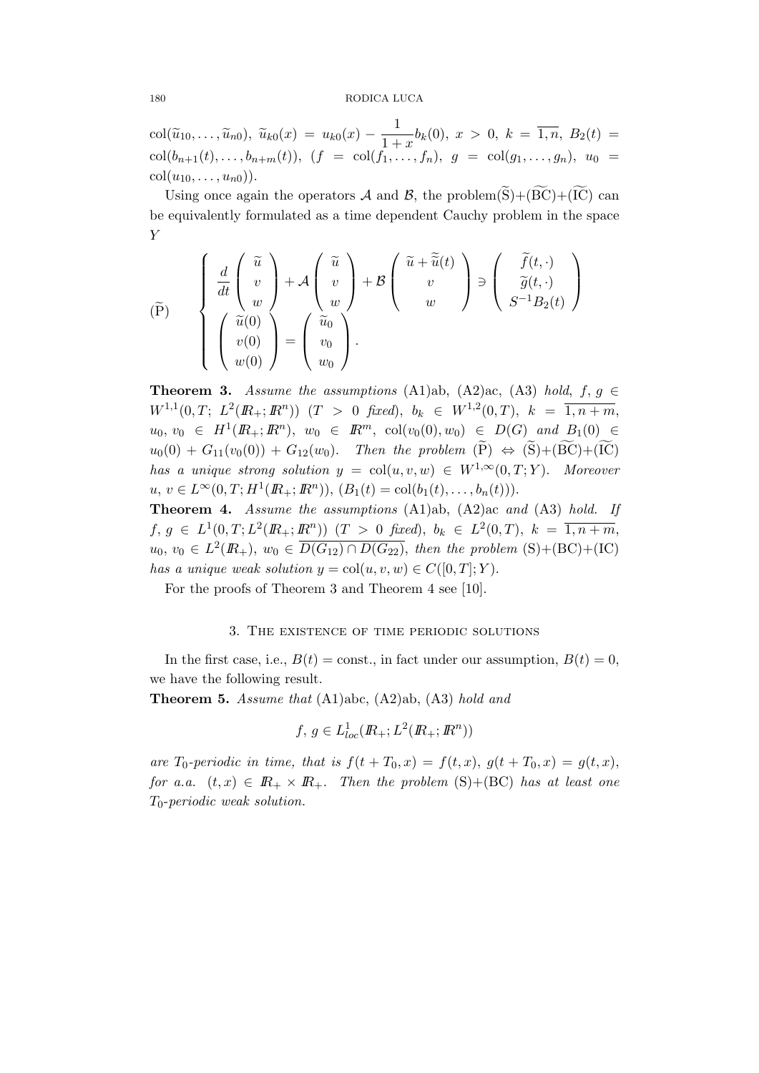$\text{col}(\widetilde{u}_{10}, \ldots, \widetilde{u}_{n0}), \ \widetilde{u}_{k0}(x) = u_{k0}(x) - \frac{1}{1+x}$  $\frac{1}{1+x}b_k(0), x > 0, k = \overline{1,n}, B_2(t) =$  $col(b_{n+1}(t),...,b_{n+m}(t)), (f = col(f_1,...,f_n), g = col(g_1,...,g_n), u_0 =$  $col(u_{10}, \ldots, u_{n0})$ .

Using once again the operators A and B, the problem( $\widetilde{S}$ )+( $\widetilde{BC}$ )+( $\widetilde{IC}$ ) can be equivalently formulated as a time dependent Cauchy problem in the space Y

$$
\begin{pmatrix}\n\widetilde{P} \\
\widetilde{d}t\n\end{pmatrix}\n\begin{pmatrix}\n\widetilde{u} \\
v \\
w \\
w\n\end{pmatrix} + \mathcal{A}\begin{pmatrix}\n\widetilde{u} \\
v \\
w \\
w\n\end{pmatrix} + \mathcal{B}\begin{pmatrix}\n\widetilde{u} + \widetilde{\widetilde{u}}(t) \\
v \\
w\n\end{pmatrix}\n\Rightarrow\n\begin{pmatrix}\n\widetilde{f}(t, \cdot) \\
\widetilde{g}(t, \cdot) \\
S^{-1}B_2(t)\n\end{pmatrix}
$$
\n
$$
\begin{pmatrix}\n\widetilde{u}(0) \\
v(0) \\
w(0)\n\end{pmatrix} =\n\begin{pmatrix}\n\widetilde{u}_0 \\
v_0 \\
w_0\n\end{pmatrix}.
$$

**Theorem 3.** Assume the assumptions (A1)ab, (A2)ac, (A3) hold,  $f, g \in$  $W^{1,1}(0,T; L^2(\mathbb{R}_+; \mathbb{R}^n))$   $(T > 0$  fixed),  $b_k \in W^{1,2}(0,T)$ ,  $k = \overline{1, n+m}$ ,  $u_0, v_0 \in H^1(\mathbb{R}_+; \mathbb{R}^n), w_0 \in \mathbb{R}^m, col(v_0(0), w_0) \in D(G)$  and  $B_1(0) \in$  $u_0(0) + G_{11}(v_0(0)) + G_{12}(w_0)$ . Then the problem  $(P) \Leftrightarrow (S) + (BC) + (IC)$ has a unique strong solution  $y = col(u, v, w) \in W^{1,\infty}(0,T;Y)$ . Moreover  $u, v \in L^{\infty}(0,T; H^{1}(I\!\!R_{+};I\!\!R^{n})), (B_{1}(t) = \text{col}(b_{1}(t),..., b_{n}(t))).$ 

Theorem 4. Assume the assumptions (A1)ab, (A2)ac and (A3) hold. If  $f, g \in L^1(0,T; L^2(\mathbb{R}_+; \mathbb{R}^n))$   $(T > 0$  fixed),  $b_k \in L^2(0,T)$ ,  $k = \overline{1, n+m}$ ,  $u_0, v_0 \in L^2(\mathbb{R}_+), w_0 \in \overline{D(G_{12}) \cap D(G_{22})}$ , then the problem  $(S) + (BC) + (IC)$ has a unique weak solution  $y = col(u, v, w) \in C([0, T]; Y)$ .

For the proofs of Theorem 3 and Theorem 4 see [10].

### 3. The existence of time periodic solutions

In the first case, i.e.,  $B(t) = \text{const.}$ , in fact under our assumption,  $B(t) = 0$ , we have the following result.

Theorem 5. Assume that (A1)abc, (A2)ab, (A3) hold and

$$
f, g \in L_{loc}^1(R_+; L^2(R_+; \mathbb{R}^n))
$$

are  $T_0$ -periodic in time, that is  $f(t+T_0,x) = f(t,x)$ ,  $g(t+T_0,x) = g(t,x)$ , for a.a.  $(t, x) \in \mathbb{R}_+ \times \mathbb{R}_+$ . Then the problem  $(S) + (BC)$  has at least one  $T_0$ -periodic weak solution.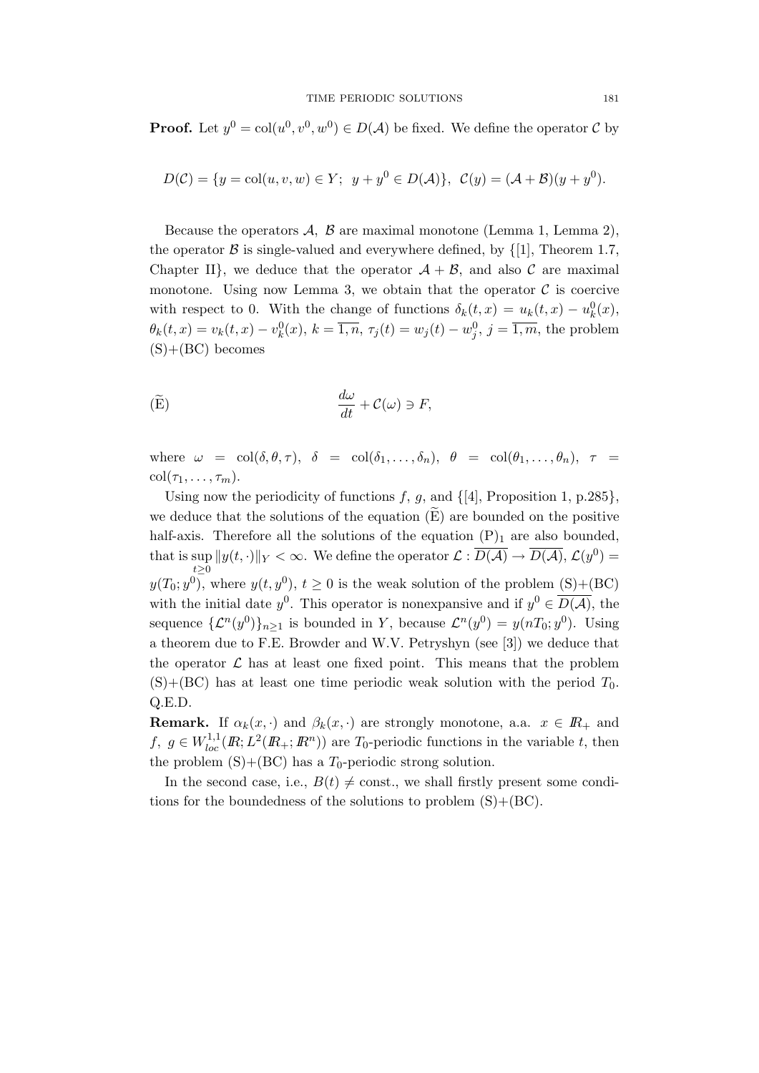**Proof.** Let  $y^0 = col(u^0, v^0, w^0) \in D(\mathcal{A})$  be fixed. We define the operator C by

$$
D(\mathcal{C}) = \{ y = \text{col}(u, v, w) \in Y; \ y + y^0 \in D(\mathcal{A}) \}, \ \mathcal{C}(y) = (\mathcal{A} + \mathcal{B})(y + y^0).
$$

Because the operators  $\mathcal{A}, \mathcal{B}$  are maximal monotone (Lemma 1, Lemma 2), the operator  $\beta$  is single-valued and everywhere defined, by  $\{1\}$ , Theorem 1.7, Chapter II}, we deduce that the operator  $A + B$ , and also C are maximal monotone. Using now Lemma 3, we obtain that the operator  $\mathcal C$  is coercive with respect to 0. With the change of functions  $\delta_k(t,x) = u_k(t,x) - u_k^0(x)$ ,  $\theta_k(t,x) = v_k(t,x) - v_k^0(x), k = \overline{1,n}, \tau_j(t) = w_j(t) - w_j^0, j = \overline{1,m}$ , the problem  $(S)+(BC)$  becomes

$$
\frac{d\omega}{dt} + C(\omega) \ni F,
$$

where  $\omega = \text{col}(\delta, \theta, \tau)$ ,  $\delta = \text{col}(\delta_1, \ldots, \delta_n)$ ,  $\theta = \text{col}(\theta_1, \ldots, \theta_n)$ ,  $\tau =$  $\operatorname{col}(\tau_1,\ldots,\tau_m).$ 

Using now the periodicity of functions f, g, and  $\{4\}$ , Proposition 1, p.285 $\}$ , we deduce that the solutions of the equation  $(E)$  are bounded on the positive half-axis. Therefore all the solutions of the equation  $(P)_1$  are also bounded, that is sup  $\sup_{t\geq 0} ||y(t, \cdot)||_Y < \infty$ . We define the operator  $\mathcal{L}: \overline{D(\mathcal{A})} \to \overline{D(\mathcal{A})}$ ,  $\mathcal{L}(y^0) =$  $y(T_0; y^0)$ , where  $y(t, y^0)$ ,  $t \ge 0$  is the weak solution of the problem  $(S) + (BC)$ with the initial date  $y^0$ . This operator is nonexpansive and if  $y^0 \in \overline{D(A)}$ , the sequence  $\{\mathcal{L}^n(y^0)\}_{n\geq 1}$  is bounded in Y, because  $\mathcal{L}^n(y^0) = y(nT_0; y^0)$ . Using a theorem due to F.E. Browder and W.V. Petryshyn (see [3]) we deduce that the operator  $\mathcal L$  has at least one fixed point. This means that the problem  $(S)+(BC)$  has at least one time periodic weak solution with the period  $T_0$ . Q.E.D.

**Remark.** If  $\alpha_k(x, \cdot)$  and  $\beta_k(x, \cdot)$  are strongly monotone, a.a.  $x \in \mathbb{R}_+$  and f,  $g \in W_{loc}^{1,1}(I\!\!R;L^2(I\!\!R_+;I\!\!R^n))$  are  $T_0$ -periodic functions in the variable t, then the problem  $(S)+(BC)$  has a  $T_0$ -periodic strong solution.

In the second case, i.e.,  $B(t) \neq$  const., we shall firstly present some conditions for the boundedness of the solutions to problem  $(S) + (BC)$ .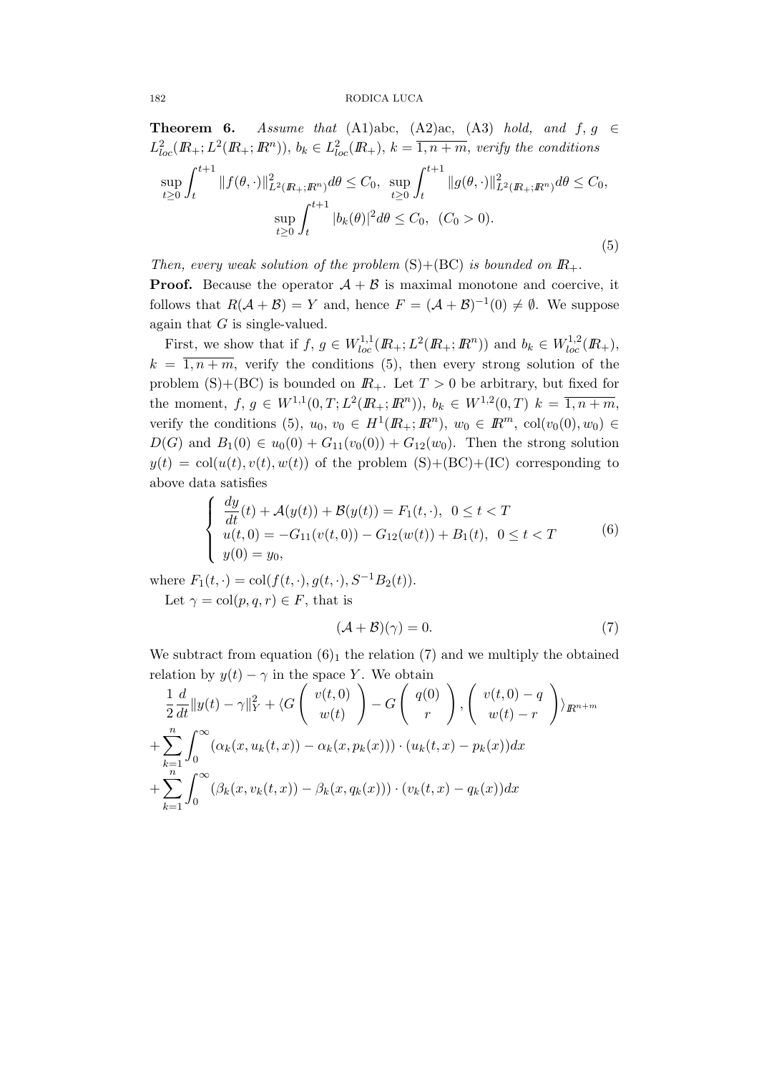**Theorem 6.** Assume that (A1)abc, (A2)ac, (A3) hold, and  $f, g \in$  $L_{loc}^2(\mathbb{R}_+;\mathbb{L}^2(\mathbb{R}_+;\mathbb{R}^n)),$   $b_k \in L_{loc}^2(\mathbb{R}_+),$   $k = \overline{1,n+m}$ , verify the conditions

$$
\sup_{t\geq 0} \int_{t}^{t+1} \|f(\theta,\cdot)\|_{L^{2}(I\!\!R_{+};I\!\!R^{n})}^{2} d\theta \leq C_{0}, \sup_{t\geq 0} \int_{t}^{t+1} \|g(\theta,\cdot)\|_{L^{2}(I\!\!R_{+};I\!\!R^{n})}^{2} d\theta \leq C_{0},
$$
  

$$
\sup_{t\geq 0} \int_{t}^{t+1} |b_{k}(\theta)|^{2} d\theta \leq C_{0}, (C_{0} > 0).
$$
\n(5)

Then, every weak solution of the problem  $(S)+(BC)$  is bounded on  $\mathbb{R}_+$ . **Proof.** Because the operator  $A + B$  is maximal monotone and coercive, it follows that  $R(A + B) = Y$  and, hence  $F = (A + B)^{-1}(0) \neq \emptyset$ . We suppose again that  $G$  is single-valued.

First, we show that if  $f, g \in W_{loc}^{1,1}(I\!\!R_+; L^2(I\!\!R_+; I\!\!R^n))$  and  $b_k \in W_{loc}^{1,2}(I\!\!R_+),$  $k = \overline{1, n+m}$ , verify the conditions (5), then every strong solution of the problem  $(S)+(BC)$  is bounded on  $\mathbb{R}_+$ . Let  $T > 0$  be arbitrary, but fixed for the moment,  $f, g \in W^{1,1}(0,T; L^2(\mathbb{R}_+; \mathbb{R}^n))$ ,  $b_k \in W^{1,2}(0,T)$   $k = \overline{1, n+m}$ , verify the conditions (5),  $u_0, v_0 \in H^1(\mathbb{R}_+; \mathbb{R}^n)$ ,  $w_0 \in \mathbb{R}^m$ ,  $col(v_0(0), w_0) \in$  $D(G)$  and  $B_1(0) \in u_0(0) + G_{11}(v_0(0)) + G_{12}(w_0)$ . Then the strong solution  $y(t) = col(u(t), v(t), w(t))$  of the problem  $(S)+(BC)+(IC)$  corresponding to above data satisfies

$$
\begin{cases}\n\frac{dy}{dt}(t) + \mathcal{A}(y(t)) + \mathcal{B}(y(t)) = F_1(t, \cdot), & 0 \le t < T \\
u(t, 0) = -G_{11}(v(t, 0)) - G_{12}(w(t)) + B_1(t), & 0 \le t < T \\
y(0) = y_0,\n\end{cases} \tag{6}
$$

where  $F_1(t, \cdot) = \text{col}(f(t, \cdot), g(t, \cdot), S^{-1}B_2(t)).$ Let  $\gamma = \text{col}(p, q, r) \in F$ , that is

$$
(\mathcal{A} + \mathcal{B})(\gamma) = 0. \tag{7}
$$

We subtract from equation  $(6)_1$  the relation  $(7)$  and we multiply the obtained relation by  $y(t) - \gamma$  in the space Y. We obtain

$$
\frac{1}{2}\frac{d}{dt}\|y(t)-\gamma\|_Y^2 + \langle G\left(\begin{array}{c}v(t,0)\\w(t)\end{array}\right) - G\left(\begin{array}{c}q(0)\\r\end{array}\right), \left(\begin{array}{c}v(t,0)-q\\w(t)-r\end{array}\right)\rangle_{I\!\!R^{n+m}}
$$

$$
+ \sum_{k=1}^n \int_0^\infty (\alpha_k(x, u_k(t,x)) - \alpha_k(x, p_k(x))) \cdot (u_k(t,x) - p_k(x))dx
$$

$$
+ \sum_{k=1}^n \int_0^\infty (\beta_k(x, v_k(t,x)) - \beta_k(x, q_k(x))) \cdot (v_k(t,x) - q_k(x))dx
$$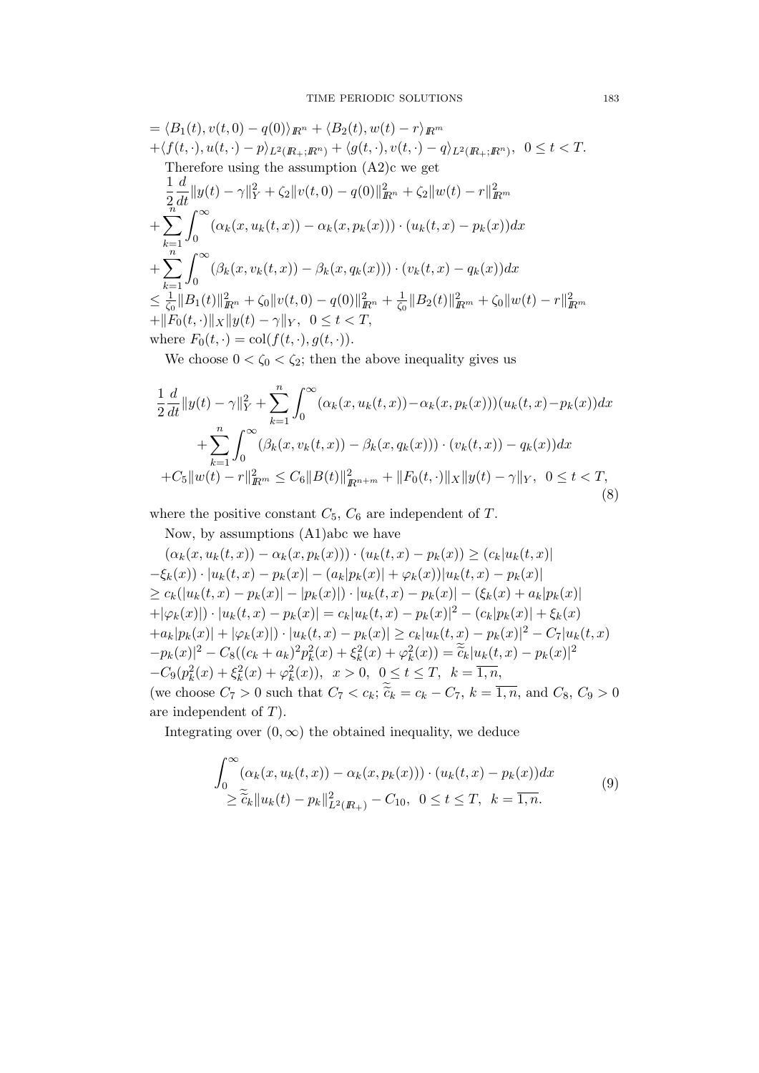$$
= \langle B_1(t), v(t, 0) - q(0) \rangle_{\mathbb{R}^n} + \langle B_2(t), w(t) - r \rangle_{\mathbb{R}^m} + \langle f(t, \cdot), u(t, \cdot) - p \rangle_{L^2(\mathbb{R}_+; \mathbb{R}^n)} + \langle g(t, \cdot), v(t, \cdot) - q \rangle_{L^2(\mathbb{R}_+; \mathbb{R}^n)}, 0 \le t < T.
$$
  
Therefore using the assumption (A2)c we get  

$$
\frac{1}{2} \frac{d}{dt} ||y(t) - \gamma||_Y^2 + \langle z||v(t, 0) - q(0)||_{\mathbb{R}^n}^2 + \langle z||w(t) - r||_{\mathbb{R}^m}^2 + \sum_{k=1}^n \int_0^\infty (\alpha_k(x, u_k(t, x)) - \alpha_k(x, p_k(x))) \cdot (u_k(t, x) - p_k(x)) dx + \sum_{k=1}^n \int_0^\infty (\beta_k(x, v_k(t, x)) - \beta_k(x, q_k(x))) \cdot (v_k(t, x) - q_k(x)) dx  $\le \frac{1}{\zeta_0} ||B_1(t)||_{\mathbb{R}^n}^2 + \langle s||v(t, 0) - q(0)||_{\mathbb{R}^n}^2 + \frac{1}{\zeta_0} ||B_2(t)||_{\mathbb{R}^m}^2 + \langle s||w(t) - r||_{\mathbb{R}^m}^2 + ||F_0(t, \cdot)||_X ||y(t) - \gamma||_Y, 0 \le t < T,$   
where  $F_0(t, \cdot) = \text{col}(f(t, \cdot), g(t, \cdot)).$
$$

We choose  $0<\zeta_0<\zeta_2;$  then the above inequality gives us

$$
\frac{1}{2}\frac{d}{dt}\|y(t)-\gamma\|_{Y}^{2} + \sum_{k=1}^{n} \int_{0}^{\infty} (\alpha_{k}(x, u_{k}(t, x)) - \alpha_{k}(x, p_{k}(x)))(u_{k}(t, x) - p_{k}(x))dx \n+ \sum_{k=1}^{n} \int_{0}^{\infty} (\beta_{k}(x, v_{k}(t, x)) - \beta_{k}(x, q_{k}(x))) \cdot (v_{k}(t, x)) - q_{k}(x))dx \n+ C_{5} \|w(t) - r\|_{R^{m}}^{2} \leq C_{6} \|B(t)\|_{R^{n+m}}^{2} + \|F_{0}(t, \cdot)\|_{X} \|y(t) - \gamma\|_{Y}, \quad 0 \leq t < T,
$$
\n(8)

where the positive constant  $C_5$ ,  $C_6$  are independent of T.

Now, by assumptions (A1)abc we have

$$
(\alpha_k(x, u_k(t, x)) - \alpha_k(x, p_k(x))) \cdot (u_k(t, x) - p_k(x)) \ge (c_k |u_k(t, x)|
$$
  
\n
$$
-\xi_k(x)) \cdot |u_k(t, x) - p_k(x)| - (a_k |p_k(x)| + \varphi_k(x)) |u_k(t, x) - p_k(x)|
$$
  
\n
$$
\ge c_k (|u_k(t, x) - p_k(x)| - |p_k(x)|) \cdot |u_k(t, x) - p_k(x)| - (\xi_k(x) + a_k |p_k(x)|)
$$
  
\n
$$
+ |\varphi_k(x)|) \cdot |u_k(t, x) - p_k(x)| = c_k |u_k(t, x) - p_k(x)|^2 - (c_k |p_k(x)| + \xi_k(x)
$$
  
\n
$$
+ a_k |p_k(x)| + |\varphi_k(x)|) \cdot |u_k(t, x) - p_k(x)| \ge c_k |u_k(t, x) - p_k(x)|^2 - C_7 |u_k(t, x)|
$$
  
\n
$$
- p_k(x)|^2 - C_8 ((c_k + a_k)^2 p_k^2(x) + \xi_k^2(x) + \varphi_k^2(x)) = \widetilde{c}_k |u_k(t, x) - p_k(x)|^2
$$
  
\n
$$
-C_9 (p_k^2(x) + \xi_k^2(x) + \varphi_k^2(x)), \quad x > 0, \quad 0 \le t \le T, \quad k = \overline{1, n},
$$
  
\n(we choose  $C_7 > 0$  such that  $C_7 < c_k$ ;  $\widetilde{c}_k = c_k - C_7$ ,  $k = \overline{1, n}$ , and  $C_8, C_9 > 0$   
\nare independent of T).

Integrating over  $(0, \infty)$  the obtained inequality, we deduce

$$
\int_0^\infty (\alpha_k(x, u_k(t, x)) - \alpha_k(x, p_k(x))) \cdot (u_k(t, x) - p_k(x)) dx
$$
\n
$$
\geq \tilde{c}_k \| u_k(t) - p_k \|_{L^2(\mathbb{R}_+)}^2 - C_{10}, \quad 0 \leq t \leq T, \quad k = \overline{1, n}.
$$
\n(9)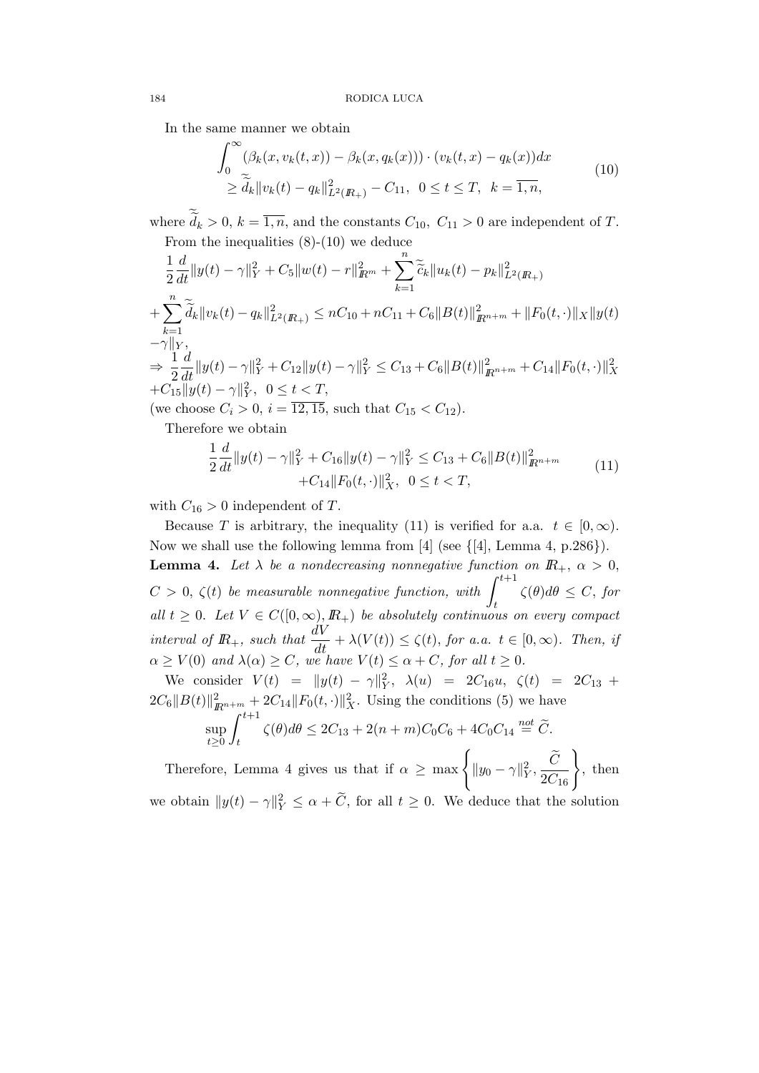In the same manner we obtain

$$
\int_0^\infty (\beta_k(x, v_k(t, x)) - \beta_k(x, q_k(x))) \cdot (v_k(t, x) - q_k(x)) dx
$$
\n
$$
\geq \tilde{d}_k \|v_k(t) - q_k\|_{L^2(\mathbb{R}_+)}^2 - C_{11}, \ 0 \leq t \leq T, \ k = \overline{1, n},
$$
\n(10)

where  $d_k > 0$ ,  $k = \overline{1, n}$ , and the constants  $C_{10}$ ,  $C_{11} > 0$  are independent of T. From the inequalities (8)-(10) we deduce

$$
\frac{1}{2}\frac{d}{dt}\|y(t) - \gamma\|_{Y}^{2} + C_{5}\|w(t) - r\|_{I\!\!R^{m}}^{2} + \sum_{k=1}^{n} \widetilde{c}_{k}\|u_{k}(t) - p_{k}\|_{L^{2}(I\!\!R_{+})}^{2}
$$
\n
$$
+ \sum_{k=1}^{n} \widetilde{d}_{k}\|v_{k}(t) - q_{k}\|_{L^{2}(I\!\!R_{+})}^{2} \leq nC_{10} + nC_{11} + C_{6}\|B(t)\|_{I\!\!R^{n+m}}^{2} + \|F_{0}(t, \cdot)\|_{X}\|y(t)
$$
\n
$$
-\gamma\|_{Y},
$$
\n
$$
\Rightarrow \frac{1}{2}\frac{d}{dt}\|y(t) - \gamma\|_{Y}^{2} + C_{12}\|y(t) - \gamma\|_{Y}^{2} \leq C_{13} + C_{6}\|B(t)\|_{I\!\!R^{n+m}}^{2} + C_{14}\|F_{0}(t, \cdot)\|_{X}^{2}
$$
\n
$$
+ C_{15}\|y(t) - \gamma\|_{Y}^{2}, \quad 0 \leq t < T,
$$
\n(we choose  $C_{i} > 0, i = \overline{12, 15},$  such that  $C_{15} < C_{12}$ ).

Therefore we obtain

$$
\frac{1}{2}\frac{d}{dt}||y(t) - \gamma||_Y^2 + C_{16}||y(t) - \gamma||_Y^2 \leq C_{13} + C_6||B(t)||_{R^{n+m}}^2
$$
\n
$$
+ C_{14}||F_0(t, \cdot)||_X^2, \quad 0 \leq t < T,
$$
\n
$$
(11)
$$

with  $C_{16} > 0$  independent of T.

Because T is arbitrary, the inequality (11) is verified for a.a.  $t \in [0, \infty)$ . Now we shall use the following lemma from [4] (see  $\{4\}$ , Lemma 4, p.286 $\}$ ). **Lemma 4.** Let  $\lambda$  be a nondecreasing nonnegative function on  $\mathbb{R}_+$ ,  $\alpha > 0$ ,  $C > 0, \ \zeta(t)$  be measurable nonnegative function, with  $\int^{t+1}$ t  $\zeta(\theta)d\theta \leq C, for$ all  $t \geq 0$ . Let  $V \in C([0,\infty), \mathbb{R}_+)$  be absolutely continuous on every compact interval of  $\mathbb{R}_+$ , such that  $\frac{dV}{dt} + \lambda(V(t)) \leq \zeta(t)$ , for a.a.  $t \in [0,\infty)$ . Then, if  $\alpha \ge V(0)$  and  $\lambda(\alpha) \ge C$ , we have  $V(t) \le \alpha + C$ , for all  $t \ge 0$ .

We consider  $V(t) = ||y(t) - \gamma||_Y^2$ ,  $\lambda(u) = 2C_{16}u$ ,  $\zeta(t) = 2C_{13} +$  $2C_6||B(t)||_{\mathbb{R}^{n+m}}^2 + 2C_{14}||F_0(t, \cdot)||_X^2$ . Using the conditions (5) we have

$$
\sup_{t\geq 0} \int_{t}^{t+1} \zeta(\theta) d\theta \leq 2C_{13} + 2(n+m)C_0C_6 + 4C_0C_{14} \stackrel{\text{not}}{=} \widetilde{C}.
$$

Therefore, Lemma 4 gives us that if  $\alpha \ge \max \left\{ ||y_0 - \gamma||_Y^2, \frac{\tilde{C}}{2C_{16}} \right\}$ , then

we obtain  $||y(t) - \gamma||_Y^2 \leq \alpha + \tilde{C}$ , for all  $t \geq 0$ . We deduce that the solution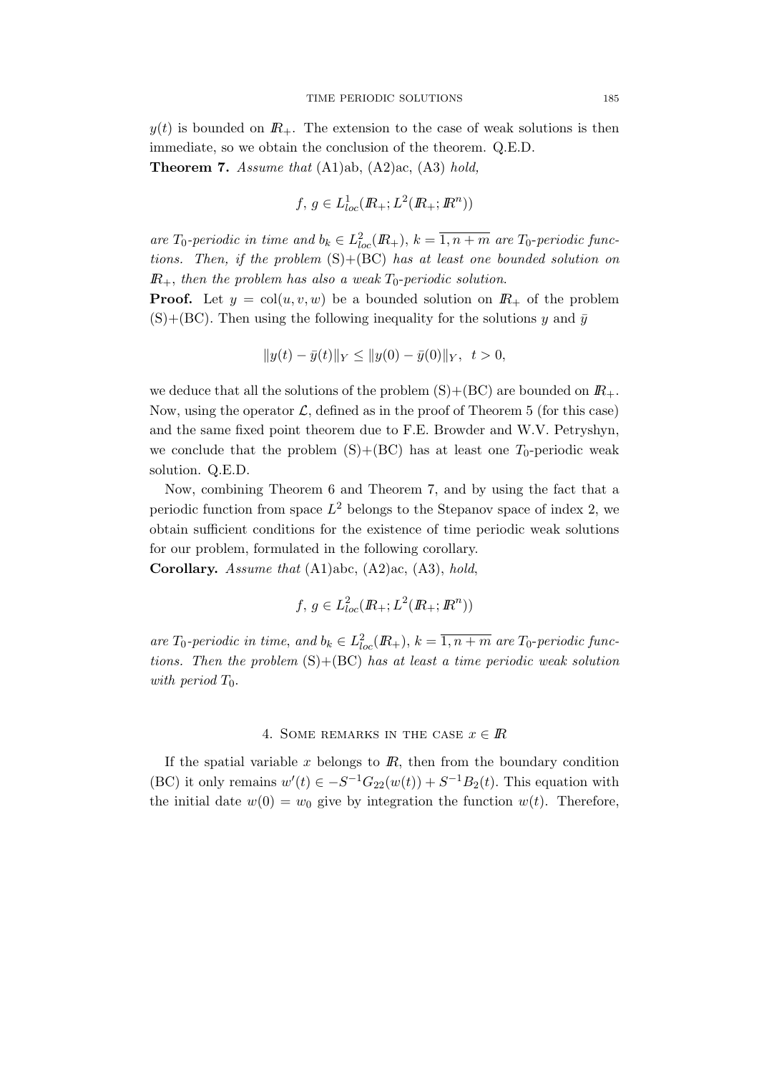$y(t)$  is bounded on  $I\!R_{+}$ . The extension to the case of weak solutions is then immediate, so we obtain the conclusion of the theorem. Q.E.D.

**Theorem 7.** Assume that  $(A1)ab$ ,  $(A2)ac$ ,  $(A3) hold$ ,

$$
f, g \in L^1_{loc}(I\!\!R_+; L^2(I\!\!R_+; I\!\!R^n))
$$

are  $T_0$ -periodic in time and  $b_k \in L^2_{loc}(\mathbb{R}_+), k = \overline{1, n+m}$  are  $T_0$ -periodic functions. Then, if the problem  $(S)+(BC)$  has at least one bounded solution on  $I\!R_{+}$ , then the problem has also a weak  $T_0$ -periodic solution.

**Proof.** Let  $y = col(u, v, w)$  be a bounded solution on  $\mathbb{R}_+$  of the problem  $(S)+(BC)$ . Then using the following inequality for the solutions y and  $\bar{y}$ 

$$
||y(t) - \bar{y}(t)||_Y \le ||y(0) - \bar{y}(0)||_Y, \ t > 0
$$

we deduce that all the solutions of the problem  $(S)+(BC)$  are bounded on  $\mathbb{R}_+$ . Now, using the operator  $\mathcal{L}$ , defined as in the proof of Theorem 5 (for this case) and the same fixed point theorem due to F.E. Browder and W.V. Petryshyn, we conclude that the problem  $(S)+(BC)$  has at least one  $T_0$ -periodic weak solution. Q.E.D.

Now, combining Theorem 6 and Theorem 7, and by using the fact that a periodic function from space  $L^2$  belongs to the Stepanov space of index 2, we obtain sufficient conditions for the existence of time periodic weak solutions for our problem, formulated in the following corollary.

Corollary. Assume that (A1)abc, (A2)ac, (A3), hold,

$$
f, g \in L^2_{loc}(I\!\!R_+; L^2(I\!\!R_+; I\!\!R^n))
$$

are  $T_0$ -periodic in time, and  $b_k \in L^2_{loc}(\mathbb{R}_+), k = \overline{1, n+m}$  are  $T_0$ -periodic functions. Then the problem  $(S)+(BC)$  has at least a time periodic weak solution with period  $T_0$ .

## 4. SOME REMARKS IN THE CASE  $x \in \mathbb{R}$

If the spatial variable  $x$  belongs to  $\mathbb{R}$ , then from the boundary condition (BC) it only remains  $w'(t) \in -S^{-1}G_{22}(w(t)) + S^{-1}B_2(t)$ . This equation with the initial date  $w(0) = w_0$  give by integration the function  $w(t)$ . Therefore,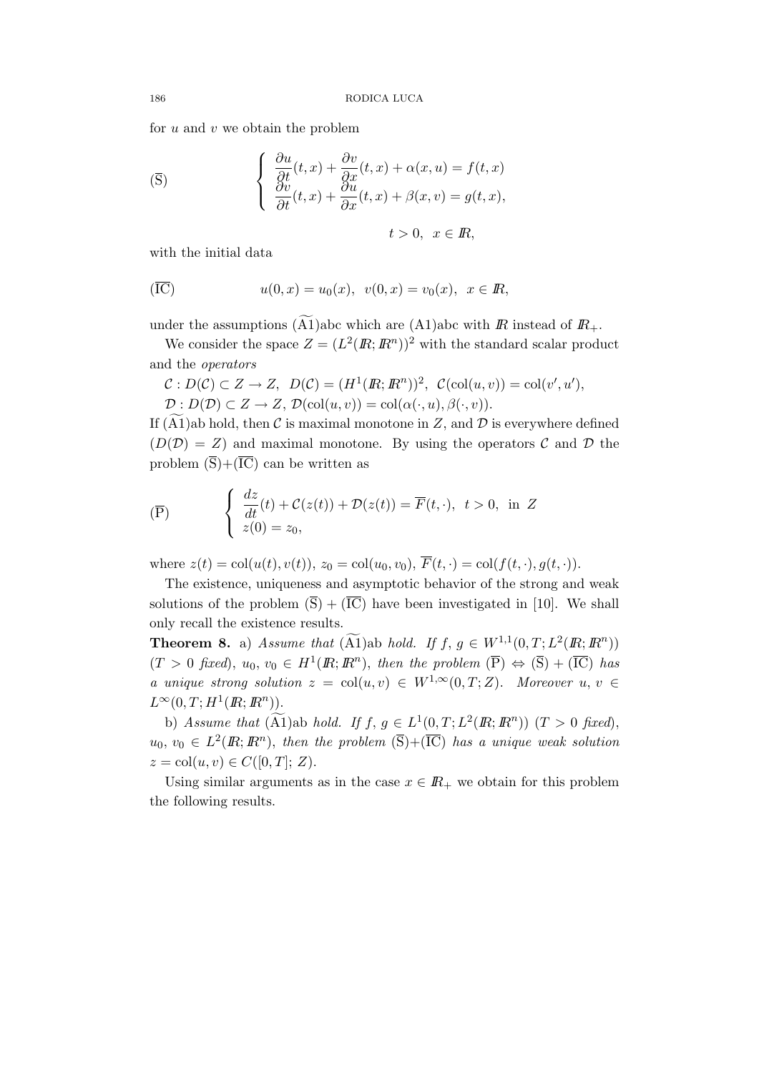for  $u$  and  $v$  we obtain the problem

$$
\begin{cases}\n\frac{\partial u}{\partial t}(t,x) + \frac{\partial v}{\partial x}(t,x) + \alpha(x,u) = f(t,x) \\
\frac{\partial v}{\partial t}(t,x) + \frac{\partial u}{\partial x}(t,x) + \beta(x,v) = g(t,x),\n\end{cases}
$$

$$
t>0, \ \ x\in\mathbb{R},
$$

with the initial data

$$
u(0, x) = u_0(x), \ v(0, x) = v_0(x), \ x \in \mathbb{R},
$$

under the assumptions  $(\widetilde{A1})$ abc which are  $(A1)$ abc with  $\overline{R}$  instead of  $\overline{R}_+$ .

We consider the space  $Z = (L^2(\mathbb{R}; \mathbb{R}^n))^2$  with the standard scalar product and the operators

$$
C: D(C) \subset Z \to Z, \ D(C) = (H^1(\mathbb{R}; \mathbb{R}^n))^2, \ C(\text{col}(u, v)) = \text{col}(v', u'),
$$
  

$$
D: D(D) \subset Z \to Z, \ D(\text{col}(u, v)) = \text{col}(\alpha(\cdot, u), \beta(\cdot, v)).
$$

If (A1)ab hold, then  $\mathcal C$  is maximal monotone in Z, and  $\mathcal D$  is everywhere defined  $(D(\mathcal{D}) = Z)$  and maximal monotone. By using the operators C and D the problem  $(\overline{S})+(\overline{IC})$  can be written as

$$
\overline{(\mathbf{P})} \qquad \begin{cases} \frac{dz}{dt}(t) + \mathcal{C}(z(t)) + \mathcal{D}(z(t)) = \overline{F}(t, \cdot), & t > 0, \text{ in } Z \\ z(0) = z_0, & \end{cases}
$$

where  $z(t) = \text{col}(u(t), v(t)), z_0 = \text{col}(u_0, v_0), \overline{F}(t, \cdot) = \text{col}(f(t, \cdot), g(t, \cdot)).$ 

The existence, uniqueness and asymptotic behavior of the strong and weak solutions of the problem  $(\overline{S}) + (\overline{IC})$  have been investigated in [10]. We shall only recall the existence results.

**Theorem 8.** a) Assume that  $(\widetilde{A1})$  ab hold. If  $f, g \in W^{1,1}(0,T; L^2(\mathbb{R}; \mathbb{R}^n))$  $(T > 0$  fixed),  $u_0, v_0 \in H^1(\mathbb{R}; \mathbb{R}^n)$ , then the problem  $(\overline{P}) \Leftrightarrow (\overline{S}) + (\overline{IC})$  has a unique strong solution  $z = col(u, v) \in W^{1,\infty}(0,T;Z)$ . Moreover  $u, v \in$  $L^{\infty}(0,T;H^1(\mathbb{R};\mathbb{R}^n)).$ 

b) Assume that  $(\widetilde{A1})$  ab hold. If  $f, g \in L^1(0,T; L^2(\mathbb{R}; \mathbb{R}^n))$   $(T > 0$  fixed),  $u_0, v_0 \in L^2(\mathbb{R}; \mathbb{R}^n)$ , then the problem  $(\overline{S})+(\overline{IC})$  has a unique weak solution  $z = col(u, v) \in C([0, T]; Z).$ 

Using similar arguments as in the case  $x \in \mathbb{R}_+$  we obtain for this problem the following results.